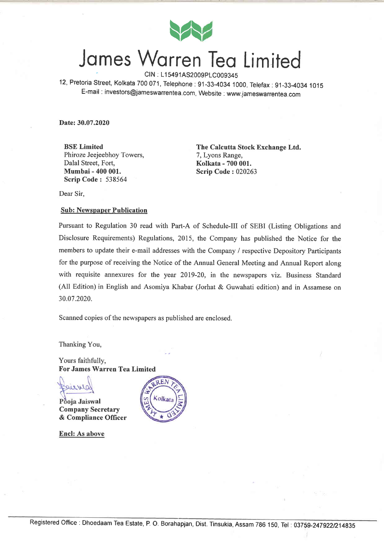

# James Warren Tea Limited

12, Pretoria Street, Kolkata 700 071, Telephone : 91-33-4034 1000, Telefax : 91-33-4034 1015 E-mail : investors@jameswarrentea.com, Website : www.jameswarrentea.com

Date: 30.07.2020

BSE Limited Phiroze Jeejeebhoy Towers, Dalal Street, Fort, Mumbai - 400 001. Scrip Code : <sup>538564</sup>

The Calcutta Stock Exchange Ltd. 7, Lyons Range, Kolkata - 700 001. Scrip Code: 020263

Dear Sir,

## **Sub: Newspaper Publication**

Pursuant to Regulation 30 read with Part-A of Schedule-Ill of SEBI (Listing Obligations and Disclosure Requirements) Regulations, 2015, the Company has published the Notice for the members to update their e-mail addresses with the Company / respective Depository Participants for the purpose of receiving the Notice of the Annual General Meeting and Annual Report along with requisite annexures for the year 2019-20, in the newspapers viz. Business Standard (All Edition) in English and Asomiya Khabar (Jorhat & Guwahati edition) and in Assamese on 30.07.2020.

Scanned copies of the newspapers as published are enclosed.

Thanking You,

Yours faithfully, For James Warren Tea Limited

eurnic

Pooja Jaiswal Company Secretary & Compliance Officer

Encl: As above